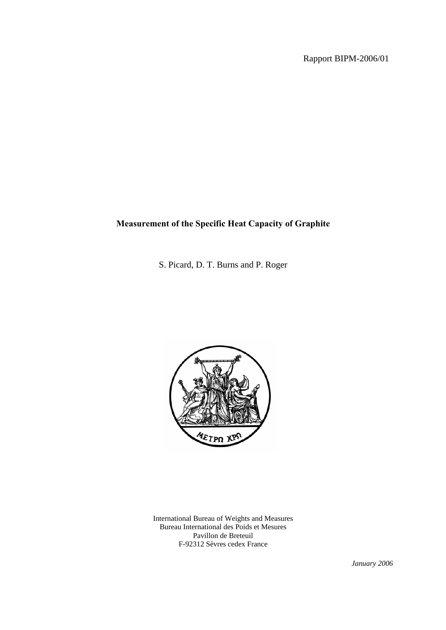# **Measurement of the Specific Heat Capacity of Graphite**

S. Picard, D. T. Burns and P. Roger



International Bureau of Weights and Measures Bureau International des Poids et Mesures Pavillon de Breteuil F-92312 Sèvres cedex France

*January 2006*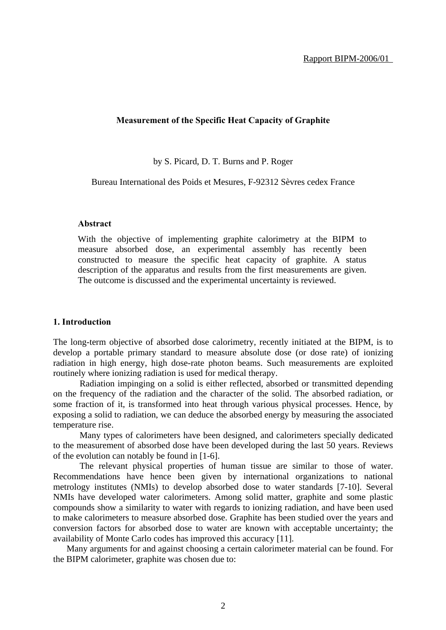## **Measurement of the Specific Heat Capacity of Graphite**

by S. Picard, D. T. Burns and P. Roger

Bureau International des Poids et Mesures, F-92312 Sèvres cedex France

### **Abstract**

With the objective of implementing graphite calorimetry at the BIPM to measure absorbed dose, an experimental assembly has recently been constructed to measure the specific heat capacity of graphite. A status description of the apparatus and results from the first measurements are given. The outcome is discussed and the experimental uncertainty is reviewed.

### **1. Introduction**

The long-term objective of absorbed dose calorimetry, recently initiated at the BIPM, is to develop a portable primary standard to measure absolute dose (or dose rate) of ionizing radiation in high energy, high dose-rate photon beams. Such measurements are exploited routinely where ionizing radiation is used for medical therapy.

Radiation impinging on a solid is either reflected, absorbed or transmitted depending on the frequency of the radiation and the character of the solid. The absorbed radiation, or some fraction of it, is transformed into heat through various physical processes. Hence, by exposing a solid to radiation, we can deduce the absorbed energy by measuring the associated temperature rise.

Many types of calorimeters have been designed, and calorimeters specially dedicated to the measurement of absorbed dose have been developed during the last 50 years. Reviews of the evolution can notably be found in [1-6].

The relevant physical properties of human tissue are similar to those of water. Recommendations have hence been given by international organizations to national metrology institutes (NMIs) to develop absorbed dose to water standards [7-10]. Several NMIs have developed water calorimeters. Among solid matter, graphite and some plastic compounds show a similarity to water with regards to ionizing radiation, and have been used to make calorimeters to measure absorbed dose. Graphite has been studied over the years and conversion factors for absorbed dose to water are known with acceptable uncertainty; the availability of Monte Carlo codes has improved this accuracy [11].

Many arguments for and against choosing a certain calorimeter material can be found. For the BIPM calorimeter, graphite was chosen due to: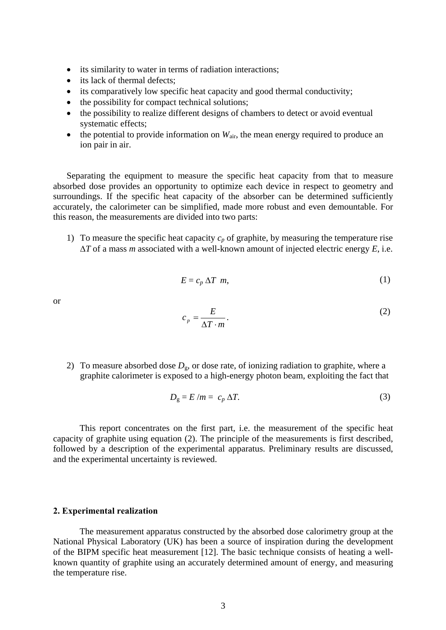- its similarity to water in terms of radiation interactions;
- its lack of thermal defects:
- its comparatively low specific heat capacity and good thermal conductivity;
- the possibility for compact technical solutions;
- the possibility to realize different designs of chambers to detect or avoid eventual systematic effects;
- the potential to provide information on  $W_{air}$ , the mean energy required to produce an ion pair in air.

Separating the equipment to measure the specific heat capacity from that to measure absorbed dose provides an opportunity to optimize each device in respect to geometry and surroundings. If the specific heat capacity of the absorber can be determined sufficiently accurately, the calorimeter can be simplified, made more robust and even demountable. For this reason, the measurements are divided into two parts:

1) To measure the specific heat capacity  $c_p$  of graphite, by measuring the temperature rise ∆*T* of a mass *m* associated with a well-known amount of injected electric energy *E*, i.e.

$$
E = c_p \Delta T \ m,
$$
 (1)

or

$$
c_p = \frac{E}{\Delta T \cdot m}.
$$
 (2)

2) To measure absorbed dose  $D_g$ , or dose rate, of ionizing radiation to graphite, where a graphite calorimeter is exposed to a high-energy photon beam, exploiting the fact that

$$
D_{\rm g} = E/m = c_p \Delta T. \tag{3}
$$

This report concentrates on the first part, i.e. the measurement of the specific heat capacity of graphite using equation (2). The principle of the measurements is first described, followed by a description of the experimental apparatus. Preliminary results are discussed, and the experimental uncertainty is reviewed.

#### **2. Experimental realization**

The measurement apparatus constructed by the absorbed dose calorimetry group at the National Physical Laboratory (UK) has been a source of inspiration during the development of the BIPM specific heat measurement [12]. The basic technique consists of heating a wellknown quantity of graphite using an accurately determined amount of energy, and measuring the temperature rise.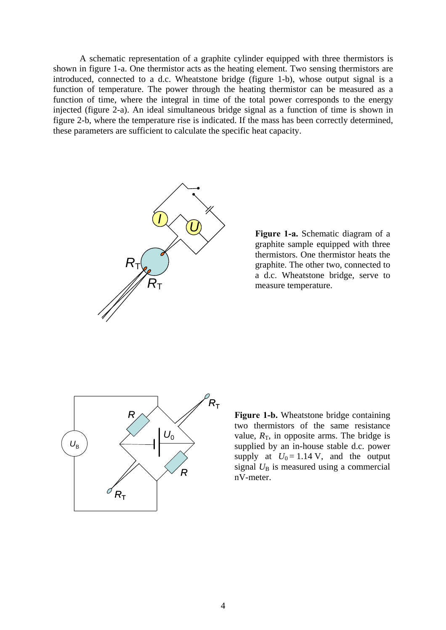A schematic representation of a graphite cylinder equipped with three thermistors is shown in figure 1-a. One thermistor acts as the heating element. Two sensing thermistors are introduced, connected to a d.c. Wheatstone bridge (figure 1-b), whose output signal is a function of temperature. The power through the heating thermistor can be measured as a function of time, where the integral in time of the total power corresponds to the energy injected (figure 2-a). An ideal simultaneous bridge signal as a function of time is shown in figure 2-b, where the temperature rise is indicated. If the mass has been correctly determined, these parameters are sufficient to calculate the specific heat capacity.



**Figure 1-a.** Schematic diagram of a graphite sample equipped with three thermistors. One thermistor heats the graphite. The other two, connected to a d.c. Wheatstone bridge, serve to measure temperature.



**Figure 1-b.** Wheatstone bridge containing two thermistors of the same resistance value,  $R<sub>T</sub>$ , in opposite arms. The bridge is supplied by an in-house stable d.c. power supply at  $U_0 = 1.14$  V, and the output signal  $U_B$  is measured using a commercial nV-meter.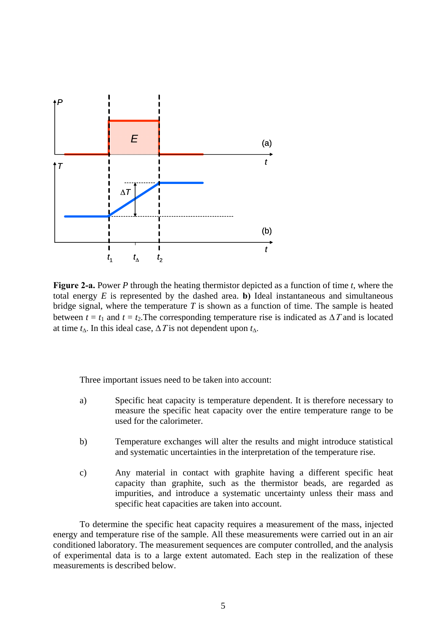

**Figure 2-a.** Power *P* through the heating thermistor depicted as a function of time *t*, where the total energy  $E$  is represented by the dashed area. **b**) Ideal instantaneous and simultaneous bridge signal, where the temperature *T* is shown as a function of time. The sample is heated between  $t = t_1$  and  $t = t_2$ . The corresponding temperature rise is indicated as  $\Delta T$  and is located at time  $t_\Delta$ . In this ideal case,  $\Delta T$  is not dependent upon  $t_\Delta$ .

Three important issues need to be taken into account:

- a) Specific heat capacity is temperature dependent. It is therefore necessary to measure the specific heat capacity over the entire temperature range to be used for the calorimeter.
- b) Temperature exchanges will alter the results and might introduce statistical and systematic uncertainties in the interpretation of the temperature rise.
- c) Any material in contact with graphite having a different specific heat capacity than graphite, such as the thermistor beads, are regarded as impurities, and introduce a systematic uncertainty unless their mass and specific heat capacities are taken into account.

To determine the specific heat capacity requires a measurement of the mass, injected energy and temperature rise of the sample. All these measurements were carried out in an air conditioned laboratory. The measurement sequences are computer controlled, and the analysis of experimental data is to a large extent automated. Each step in the realization of these measurements is described below.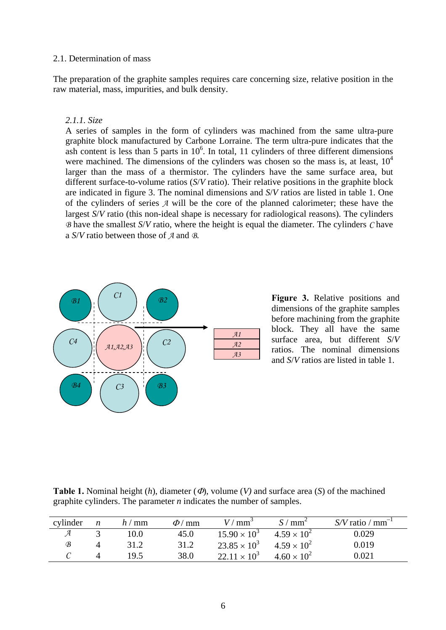## 2.1. Determination of mass

The preparation of the graphite samples requires care concerning size, relative position in the raw material, mass, impurities, and bulk density.

# *2.1.1. Size*

A series of samples in the form of cylinders was machined from the same ultra-pure graphite block manufactured by Carbone Lorraine. The term ultra-pure indicates that the ash content is less than 5 parts in  $10<sup>6</sup>$ . In total, 11 cylinders of three different dimensions were machined. The dimensions of the cylinders was chosen so the mass is, at least,  $10<sup>4</sup>$ larger than the mass of a thermistor. The cylinders have the same surface area, but different surface-to-volume ratios (*S*/*V* ratio). Their relative positions in the graphite block are indicated in figure 3. The nominal dimensions and *S*/*V* ratios are listed in table 1. One of the cylinders of series *A* will be the core of the planned calorimeter; these have the largest *S/V* ratio (this non-ideal shape is necessary for radiological reasons). The cylinders *B* have the smallest *S*/*V* ratio, where the height is equal the diameter. The cylinders *C* have a *S*/*V* ratio between those of *A* and *B*.



**Figure 3.** Relative positions and dimensions of the graphite samples before machining from the graphite block. They all have the same surface area, but different *S*/*V* ratios. The nominal dimensions and *S*/*V* ratios are listed in table 1.

**Table 1.** Nominal height (*h*), diameter (Φ), volume (*V)* and surface area (*S*) of the machined graphite cylinders. The parameter *n* indicates the number of samples.

| cylinder | n | h/mm | $\Phi$ / mm | $V/mm^3$              | $S / \text{mm}^2$    | $S/V$ ratio / mm <sup>-1</sup> |
|----------|---|------|-------------|-----------------------|----------------------|--------------------------------|
|          |   | 10.0 | 45.0        | $15.90 \times 10^{3}$ | $4.59 \times 10^{2}$ | 0.029                          |
| B        |   | 31.2 | 31.2        | $23.85 \times 10^3$   | $4.59 \times 10^{2}$ | 0.019                          |
|          |   | 19.5 | 38.0        | $22.11 \times 10^3$   | $4.60 \times 10^{2}$ | $0.021\,$                      |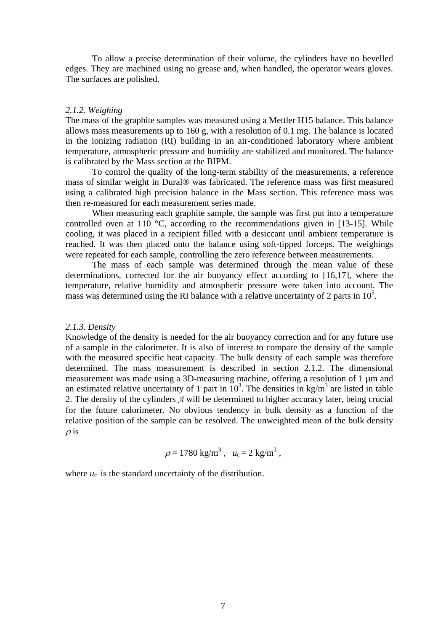To allow a precise determination of their volume, the cylinders have no bevelled edges. They are machined using no grease and, when handled, the operator wears gloves. The surfaces are polished.

### *2.1.2. Weighing*

The mass of the graphite samples was measured using a Mettler H15 balance. This balance allows mass measurements up to 160 g, with a resolution of 0.1 mg. The balance is located in the ionizing radiation (RI) building in an air-conditioned laboratory where ambient temperature, atmospheric pressure and humidity are stabilized and monitored. The balance is calibrated by the Mass section at the BIPM.

To control the quality of the long-term stability of the measurements, a reference mass of similar weight in Dural® was fabricated. The reference mass was first measured using a calibrated high precision balance in the Mass section. This reference mass was then re-measured for each measurement series made.

When measuring each graphite sample, the sample was first put into a temperature controlled oven at 110  $\degree$ C, according to the recommendations given in [13-15]. While cooling, it was placed in a recipient filled with a desiccant until ambient temperature is reached. It was then placed onto the balance using soft-tipped forceps. The weighings were repeated for each sample, controlling the zero reference between measurements.

The mass of each sample was determined through the mean value of these determinations, corrected for the air buoyancy effect according to [16,17], where the temperature, relative humidity and atmospheric pressure were taken into account. The mass was determined using the RI balance with a relative uncertainty of 2 parts in  $10<sup>5</sup>$ .

#### *2.1.3. Density*

Knowledge of the density is needed for the air buoyancy correction and for any future use of a sample in the calorimeter. It is also of interest to compare the density of the sample with the measured specific heat capacity. The bulk density of each sample was therefore determined. The mass measurement is described in section 2.1.2. The dimensional measurement was made using a 3D-measuring machine, offering a resolution of 1  $\mu$ m and an estimated relative uncertainty of 1 part in  $10^3$ . The densities in kg/m<sup>3</sup> are listed in table 2. The density of the cylinders *A* will be determined to higher accuracy later, being crucial for the future calorimeter. No obvious tendency in bulk density as a function of the relative position of the sample can be resolved. The unweighted mean of the bulk density  $\rho$  is

$$
\rho = 1780 \text{ kg/m}^3, \quad u_c = 2 \text{ kg/m}^3,
$$

where  $u_c$  is the standard uncertainty of the distribution.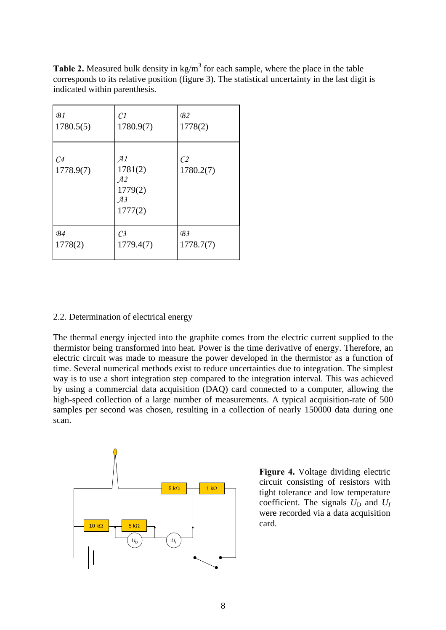**Table 2.** Measured bulk density in  $kg/m<sup>3</sup>$  for each sample, where the place in the table corresponds to its relative position (figure 3). The statistical uncertainty in the last digit is indicated within parenthesis.

| B1                          | C1                                              | B <sub>2</sub>              |
|-----------------------------|-------------------------------------------------|-----------------------------|
| 1780.5(5)                   | 1780.9(7)                                       | 1778(2)                     |
| C <sub>4</sub><br>1778.9(7) | A1<br>1781(2)<br>A2<br>1779(2)<br>A3<br>1777(2) | C <sub>2</sub><br>1780.2(7) |
| B <sub>4</sub>              | C <sub>3</sub>                                  | B <sub>3</sub>              |
| 1778(2)                     | 1779.4(7)                                       | 1778.7(7)                   |

# 2.2. Determination of electrical energy

The thermal energy injected into the graphite comes from the electric current supplied to the thermistor being transformed into heat. Power is the time derivative of energy. Therefore, an electric circuit was made to measure the power developed in the thermistor as a function of time. Several numerical methods exist to reduce uncertainties due to integration. The simplest way is to use a short integration step compared to the integration interval. This was achieved by using a commercial data acquisition (DAQ) card connected to a computer, allowing the high-speed collection of a large number of measurements. A typical acquisition-rate of 500 samples per second was chosen, resulting in a collection of nearly 150000 data during one scan.



**Figure 4.** Voltage dividing electric circuit consisting of resistors with tight tolerance and low temperature coefficient. The signals  $U_D$  and  $U_I$ were recorded via a data acquisition card.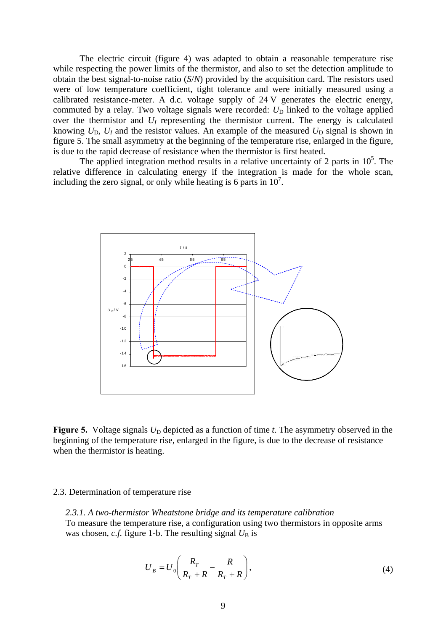The electric circuit (figure 4) was adapted to obtain a reasonable temperature rise while respecting the power limits of the thermistor, and also to set the detection amplitude to obtain the best signal-to-noise ratio (*S*/*N*) provided by the acquisition card. The resistors used were of low temperature coefficient, tight tolerance and were initially measured using a calibrated resistance-meter. A d.c. voltage supply of 24 V generates the electric energy, commuted by a relay. Two voltage signals were recorded:  $U_D$  linked to the voltage applied over the thermistor and  $U_I$  representing the thermistor current. The energy is calculated knowing  $U_D$ ,  $U_I$  and the resistor values. An example of the measured  $U_D$  signal is shown in figure 5. The small asymmetry at the beginning of the temperature rise, enlarged in the figure, is due to the rapid decrease of resistance when the thermistor is first heated.

The applied integration method results in a relative uncertainty of 2 parts in  $10<sup>5</sup>$ . The relative difference in calculating energy if the integration is made for the whole scan, including the zero signal, or only while heating is 6 parts in  $10<sup>7</sup>$ .



**Figure 5.** Voltage signals  $U_D$  depicted as a function of time *t*. The asymmetry observed in the beginning of the temperature rise, enlarged in the figure, is due to the decrease of resistance when the thermistor is heating.

#### 2.3. Determination of temperature rise

*2.3.1. A two-thermistor Wheatstone bridge and its temperature calibration*  To measure the temperature rise, a configuration using two thermistors in opposite arms was chosen, *c.f.* figure 1-b. The resulting signal  $U_B$  is

$$
U_B = U_0 \left( \frac{R_T}{R_T + R} - \frac{R}{R_T + R} \right),\tag{4}
$$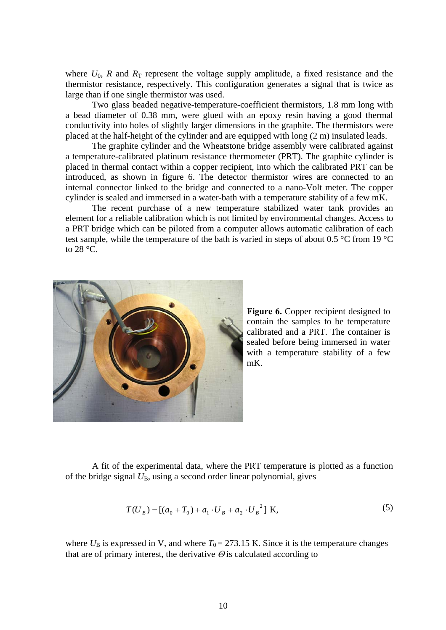where  $U_0$ ,  $R$  and  $R_T$  represent the voltage supply amplitude, a fixed resistance and the thermistor resistance, respectively. This configuration generates a signal that is twice as large than if one single thermistor was used.

Two glass beaded negative-temperature-coefficient thermistors, 1.8 mm long with a bead diameter of 0.38 mm, were glued with an epoxy resin having a good thermal conductivity into holes of slightly larger dimensions in the graphite. The thermistors were placed at the half-height of the cylinder and are equipped with long (2 m) insulated leads.

The graphite cylinder and the Wheatstone bridge assembly were calibrated against a temperature-calibrated platinum resistance thermometer (PRT). The graphite cylinder is placed in thermal contact within a copper recipient, into which the calibrated PRT can be introduced, as shown in figure 6. The detector thermistor wires are connected to an internal connector linked to the bridge and connected to a nano-Volt meter. The copper cylinder is sealed and immersed in a water-bath with a temperature stability of a few mK.

The recent purchase of a new temperature stabilized water tank provides an element for a reliable calibration which is not limited by environmental changes. Access to a PRT bridge which can be piloted from a computer allows automatic calibration of each test sample, while the temperature of the bath is varied in steps of about 0.5 °C from 19 °C to 28 °C.



**Figure 6.** Copper recipient designed to contain the samples to be temperature calibrated and a PRT. The container is sealed before being immersed in water with a temperature stability of a few mK.

A fit of the experimental data, where the PRT temperature is plotted as a function of the bridge signal *U*B, using a second order linear polynomial, gives

$$
T(U_B) = [(a_0 + T_0) + a_1 \cdot U_B + a_2 \cdot U_B^2] \text{ K},
$$
\n(5)

where  $U_B$  is expressed in V, and where  $T_0 = 273.15$  K. Since it is the temperature changes that are of primary interest, the derivative  $\Theta$  is calculated according to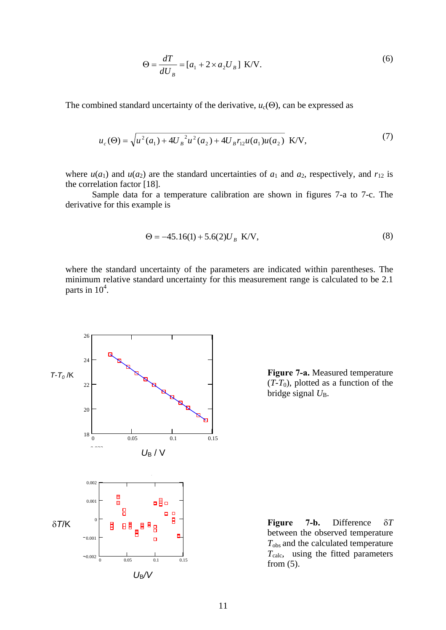$$
\Theta = \frac{dT}{dU_B} = [a_1 + 2 \times a_2 U_B] \text{ K/V}.
$$
\n<sup>(6)</sup>

The combined standard uncertainty of the derivative,  $u_c(\Theta)$ , can be expressed as

$$
u_c(\Theta) = \sqrt{u^2(a_1) + 4U_B^2 u^2(a_2) + 4U_B r_{12} u(a_1) u(a_2)} \text{ K/V},\tag{7}
$$

where  $u(a_1)$  and  $u(a_2)$  are the standard uncertainties of  $a_1$  and  $a_2$ , respectively, and  $r_{12}$  is the correlation factor [18].

Sample data for a temperature calibration are shown in figures 7-a to 7-c. The derivative for this example is

$$
\Theta = -45.16(1) + 5.6(2)U_B \text{ K/V},\tag{8}
$$

where the standard uncertainty of the parameters are indicated within parentheses. The minimum relative standard uncertainty for this measurement range is calculated to be 2.1 parts in  $10^4$ .



**Figure 7-a.** Measured temperature  $(T-T_0)$ , plotted as a function of the bridge signal  $U_{\text{B}}$ .

**Figure 7-b.** Difference δ*T* between the observed temperature *T*obs and the calculated temperature *T*calc, using the fitted parameters from (5).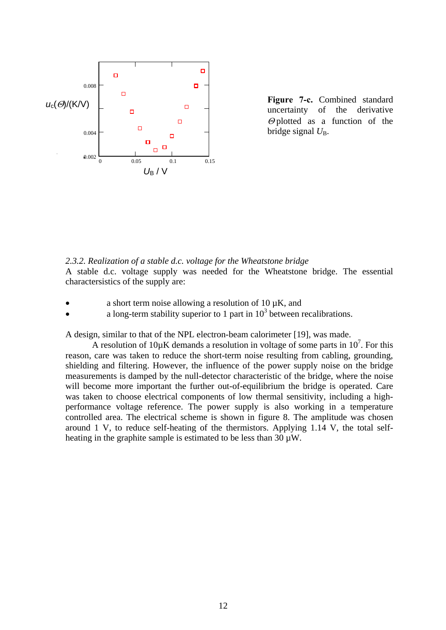

**Figure 7-c.** Combined standard uncertainty of the derivative  $\Theta$  plotted as a function of the bridge signal  $U_{\text{B}}$ .

# *2.3.2. Realization of a stable d.c. voltage for the Wheatstone bridge*

A stable d.c. voltage supply was needed for the Wheatstone bridge. The essential charactersistics of the supply are:

- a short term noise allowing a resolution of 10  $\mu$ K, and
- a long-term stability superior to 1 part in  $10^3$  between recalibrations.

A design, similar to that of the NPL electron-beam calorimeter [19], was made.

A resolution of  $10\mu$ K demands a resolution in voltage of some parts in  $10^7$ . For this reason, care was taken to reduce the short-term noise resulting from cabling, grounding, shielding and filtering. However, the influence of the power supply noise on the bridge measurements is damped by the null-detector characteristic of the bridge, where the noise will become more important the further out-of-equilibrium the bridge is operated. Care was taken to choose electrical components of low thermal sensitivity, including a highperformance voltage reference. The power supply is also working in a temperature controlled area. The electrical scheme is shown in figure 8. The amplitude was chosen around 1 V, to reduce self-heating of the thermistors. Applying 1.14 V, the total selfheating in the graphite sample is estimated to be less than  $30 \mu W$ .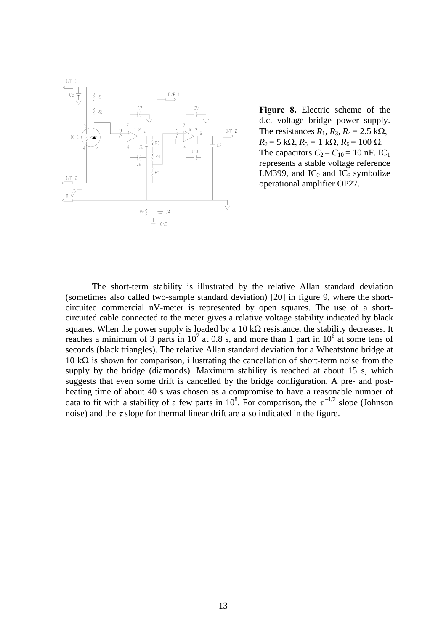

**Figure 8.** Electric scheme of the d.c. voltage bridge power supply. The resistances  $R_1$ ,  $R_3$ ,  $R_4 = 2.5$  k $\Omega$ ,  $R_2 = 5 \text{ k}\Omega$ ,  $R_5 = 1 \text{ k}\Omega$ ,  $R_6 = 100 \Omega$ . The capacitors  $C_2 - C_{10} = 10$  nF. IC<sub>1</sub> represents a stable voltage reference LM399, and  $IC_2$  and  $IC_3$  symbolize operational amplifier OP27.

The short-term stability is illustrated by the relative Allan standard deviation (sometimes also called two-sample standard deviation) [20] in figure 9, where the shortcircuited commercial nV-meter is represented by open squares. The use of a shortcircuited cable connected to the meter gives a relative voltage stability indicated by black squares. When the power supply is loaded by a 10 k $\Omega$  resistance, the stability decreases. It reaches a minimum of 3 parts in  $10^7$  at 0.8 s, and more than 1 part in  $10^6$  at some tens of seconds (black triangles). The relative Allan standard deviation for a Wheatstone bridge at 10 kΩ is shown for comparison, illustrating the cancellation of short-term noise from the supply by the bridge (diamonds). Maximum stability is reached at about 15 s, which suggests that even some drift is cancelled by the bridge configuration. A pre- and postheating time of about 40 s was chosen as a compromise to have a reasonable number of data to fit with a stability of a few parts in 10<sup>8</sup>. For comparison, the  $\tau^{-1/2}$  slope (Johnson noise) and the  $\tau$  slope for thermal linear drift are also indicated in the figure.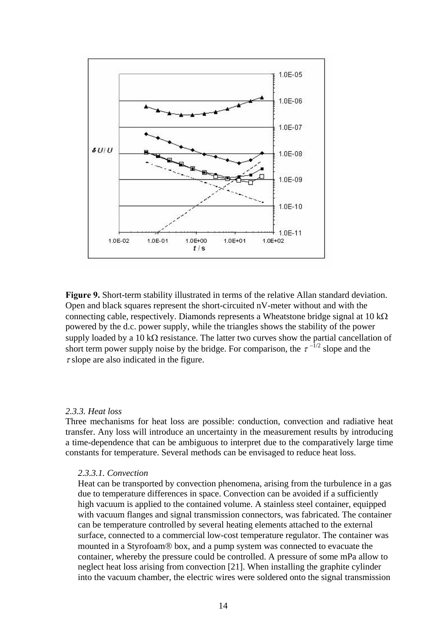

**Figure 9.** Short-term stability illustrated in terms of the relative Allan standard deviation. Open and black squares represent the short-circuited nV-meter without and with the connecting cable, respectively. Diamonds represents a Wheatstone bridge signal at  $10 \text{ k}\Omega$ powered by the d.c. power supply, while the triangles shows the stability of the power supply loaded by a 10 k $\Omega$  resistance. The latter two curves show the partial cancellation of short term power supply noise by the bridge. For comparison, the  $\tau^{-1/2}$  slope and the  $\tau$  slope are also indicated in the figure.

# *2.3.3. Heat loss*

Three mechanisms for heat loss are possible: conduction, convection and radiative heat transfer. Any loss will introduce an uncertainty in the measurement results by introducing a time-dependence that can be ambiguous to interpret due to the comparatively large time constants for temperature. Several methods can be envisaged to reduce heat loss.

# *2.3.3.1. Convection*

Heat can be transported by convection phenomena, arising from the turbulence in a gas due to temperature differences in space. Convection can be avoided if a sufficiently high vacuum is applied to the contained volume. A stainless steel container, equipped with vacuum flanges and signal transmission connectors, was fabricated. The container can be temperature controlled by several heating elements attached to the external surface, connected to a commercial low-cost temperature regulator. The container was mounted in a Styrofoam® box, and a pump system was connected to evacuate the container, whereby the pressure could be controlled. A pressure of some mPa allow to neglect heat loss arising from convection [21]. When installing the graphite cylinder into the vacuum chamber, the electric wires were soldered onto the signal transmission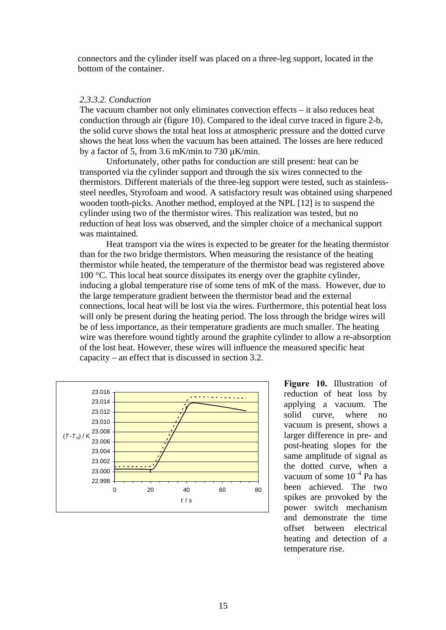connectors and the cylinder itself was placed on a three-leg support, located in the bottom of the container.

### *2.3.3.2. Conduction*

The vacuum chamber not only eliminates convection effects – it also reduces heat conduction through air (figure 10). Compared to the ideal curve traced in figure 2-b, the solid curve shows the total heat loss at atmospheric pressure and the dotted curve shows the heat loss when the vacuum has been attained. The losses are here reduced by a factor of 5, from 3.6 mK/min to 730  $\mu$ K/min.

Unfortunately, other paths for conduction are still present: heat can be transported via the cylinder support and through the six wires connected to the thermistors. Different materials of the three-leg support were tested, such as stainlesssteel needles, Styrofoam and wood. A satisfactory result was obtained using sharpened wooden tooth-picks. Another method, employed at the NPL [12] is to suspend the cylinder using two of the thermistor wires. This realization was tested, but no reduction of heat loss was observed, and the simpler choice of a mechanical support was maintained.

Heat transport via the wires is expected to be greater for the heating thermistor than for the two bridge thermistors. When measuring the resistance of the heating thermistor while heated, the temperature of the thermistor bead was registered above 100 °C. This local heat source dissipates its energy over the graphite cylinder, inducing a global temperature rise of some tens of mK of the mass. However, due to the large temperature gradient between the thermistor bead and the external connections, local heat will be lost via the wires. Furthermore, this potential heat loss will only be present during the heating period. The loss through the bridge wires will be of less importance, as their temperature gradients are much smaller. The heating wire was therefore wound tightly around the graphite cylinder to allow a re-absorption of the lost heat. However, these wires will influence the measured specific heat capacity – an effect that is discussed in section 3.2.



**Figure 10.** Illustration of reduction of heat loss by applying a vacuum. The solid curve, where no vacuum is present, shows a larger difference in pre- and post-heating slopes for the same amplitude of signal as the dotted curve, when a vacuum of some  $10^{-4}$  Pa has been achieved. The two spikes are provoked by the power switch mechanism and demonstrate the time offset between electrical heating and detection of a temperature rise.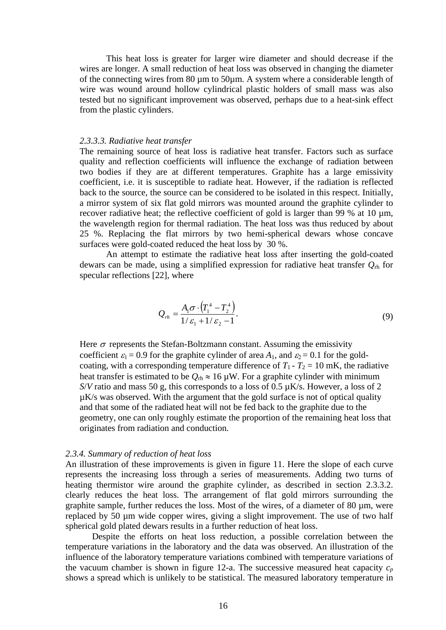This heat loss is greater for larger wire diameter and should decrease if the wires are longer. A small reduction of heat loss was observed in changing the diameter of the connecting wires from 80 µm to 50µm. A system where a considerable length of wire was wound around hollow cylindrical plastic holders of small mass was also tested but no significant improvement was observed, perhaps due to a heat-sink effect from the plastic cylinders.

#### *2.3.3.3. Radiative heat transfer*

The remaining source of heat loss is radiative heat transfer. Factors such as surface quality and reflection coefficients will influence the exchange of radiation between two bodies if they are at different temperatures. Graphite has a large emissivity coefficient, i.e. it is susceptible to radiate heat. However, if the radiation is reflected back to the source, the source can be considered to be isolated in this respect. Initially, a mirror system of six flat gold mirrors was mounted around the graphite cylinder to recover radiative heat; the reflective coefficient of gold is larger than 99 % at 10  $\mu$ m, the wavelength region for thermal radiation. The heat loss was thus reduced by about 25 %. Replacing the flat mirrors by two hemi-spherical dewars whose concave surfaces were gold-coated reduced the heat loss by 30 %.

An attempt to estimate the radiative heat loss after inserting the gold-coated dewars can be made, using a simplified expression for radiative heat transfer *Q*rh for specular reflections [22], where

$$
Q_{rh} = \frac{A_1 \sigma \cdot (T_1^4 - T_2^4)}{1/\varepsilon_1 + 1/\varepsilon_2 - 1}.
$$
 (9)

Here  $\sigma$  represents the Stefan-Boltzmann constant. Assuming the emissivity coefficient  $\varepsilon_1 = 0.9$  for the graphite cylinder of area  $A_1$ , and  $\varepsilon_2 = 0.1$  for the goldcoating, with a corresponding temperature difference of  $T_1 - T_2 = 10$  mK, the radiative heat transfer is estimated to be  $Q_{\text{rh}} \approx 16 \,\mu\text{W}$ . For a graphite cylinder with minimum *S*/*V* ratio and mass 50 g, this corresponds to a loss of 0.5 µK/s. However, a loss of 2 µK/s was observed. With the argument that the gold surface is not of optical quality and that some of the radiated heat will not be fed back to the graphite due to the geometry, one can only roughly estimate the proportion of the remaining heat loss that originates from radiation and conduction.

#### *2.3.4. Summary of reduction of heat loss*

An illustration of these improvements is given in figure 11. Here the slope of each curve represents the increasing loss through a series of measurements. Adding two turns of heating thermistor wire around the graphite cylinder, as described in section 2.3.3.2. clearly reduces the heat loss. The arrangement of flat gold mirrors surrounding the graphite sample, further reduces the loss. Most of the wires, of a diameter of 80 µm, were replaced by 50 µm wide copper wires, giving a slight improvement. The use of two half spherical gold plated dewars results in a further reduction of heat loss.

Despite the efforts on heat loss reduction, a possible correlation between the temperature variations in the laboratory and the data was observed. An illustration of the influence of the laboratory temperature variations combined with temperature variations of the vacuum chamber is shown in figure 12-a. The successive measured heat capacity  $c_p$ shows a spread which is unlikely to be statistical. The measured laboratory temperature in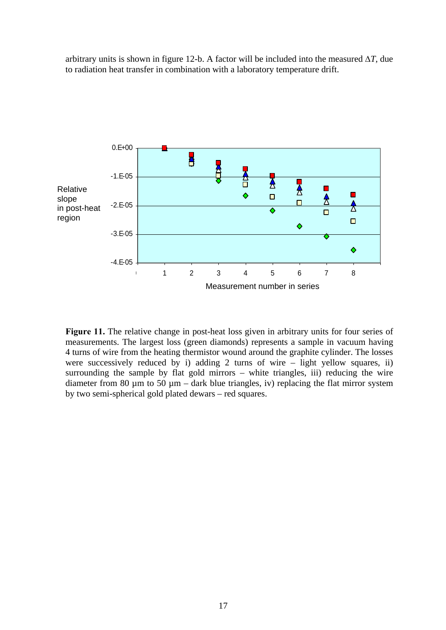arbitrary units is shown in figure 12-b. A factor will be included into the measured ∆*T*, due to radiation heat transfer in combination with a laboratory temperature drift.



Figure 11. The relative change in post-heat loss given in arbitrary units for four series of measurements. The largest loss (green diamonds) represents a sample in vacuum having 4 turns of wire from the heating thermistor wound around the graphite cylinder. The losses were successively reduced by i) adding 2 turns of wire  $-$  light yellow squares, ii) surrounding the sample by flat gold mirrors – white triangles, iii) reducing the wire diameter from 80  $\mu$ m to 50  $\mu$ m – dark blue triangles, iv) replacing the flat mirror system by two semi-spherical gold plated dewars – red squares.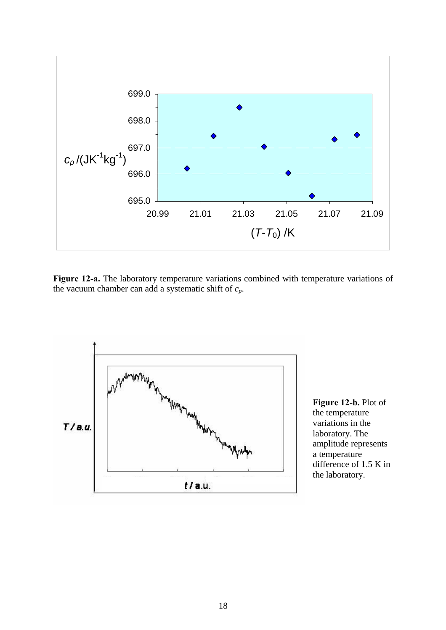

**Figure 12-a.** The laboratory temperature variations combined with temperature variations of the vacuum chamber can add a systematic shift of *cp*.



**Figure 12-b.** Plot of the temperature variations in the laboratory. The amplitude represents a temperature difference of 1.5 K in the laboratory.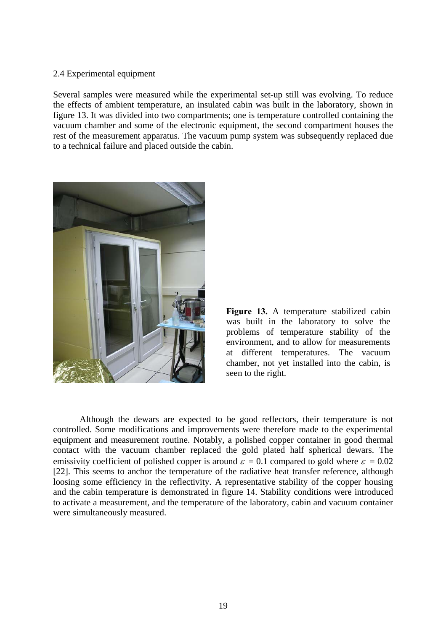# 2.4 Experimental equipment

Several samples were measured while the experimental set-up still was evolving. To reduce the effects of ambient temperature, an insulated cabin was built in the laboratory, shown in figure 13. It was divided into two compartments; one is temperature controlled containing the vacuum chamber and some of the electronic equipment, the second compartment houses the rest of the measurement apparatus. The vacuum pump system was subsequently replaced due to a technical failure and placed outside the cabin.





Although the dewars are expected to be good reflectors, their temperature is not controlled. Some modifications and improvements were therefore made to the experimental equipment and measurement routine. Notably, a polished copper container in good thermal contact with the vacuum chamber replaced the gold plated half spherical dewars. The emissivity coefficient of polished copper is around  $\varepsilon = 0.1$  compared to gold where  $\varepsilon = 0.02$ [22]. This seems to anchor the temperature of the radiative heat transfer reference, although loosing some efficiency in the reflectivity. A representative stability of the copper housing and the cabin temperature is demonstrated in figure 14. Stability conditions were introduced to activate a measurement, and the temperature of the laboratory, cabin and vacuum container were simultaneously measured.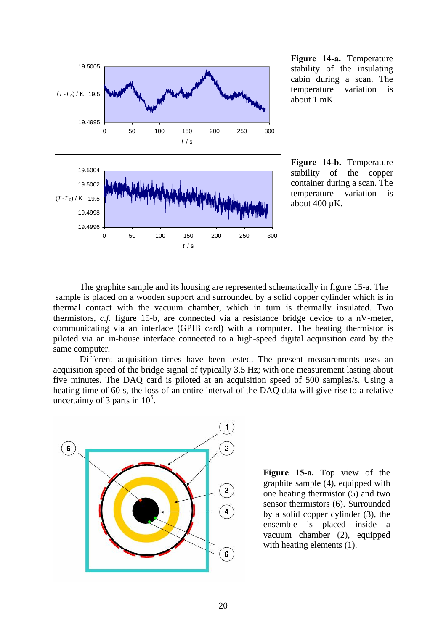

**Figure 14-a.** Temperature stability of the insulating cabin during a scan. The temperature variation is about 1 mK.

**Figure 14-b.** Temperature stability of the copper container during a scan. The temperature variation is about 400 µK.

The graphite sample and its housing are represented schematically in figure 15-a. The sample is placed on a wooden support and surrounded by a solid copper cylinder which is in thermal contact with the vacuum chamber, which in turn is thermally insulated. Two thermistors, *c.f.* figure 15-b, are connected via a resistance bridge device to a nV-meter, communicating via an interface (GPIB card) with a computer. The heating thermistor is piloted via an in-house interface connected to a high-speed digital acquisition card by the same computer.

Different acquisition times have been tested. The present measurements uses an acquisition speed of the bridge signal of typically 3.5 Hz; with one measurement lasting about five minutes. The DAQ card is piloted at an acquisition speed of 500 samples/s. Using a heating time of 60 s, the loss of an entire interval of the DAQ data will give rise to a relative uncertainty of 3 parts in  $10^5$ .



**Figure 15-a.** Top view of the graphite sample (4), equipped with one heating thermistor (5) and two sensor thermistors (6). Surrounded by a solid copper cylinder (3), the ensemble is placed inside a vacuum chamber (2), equipped with heating elements (1).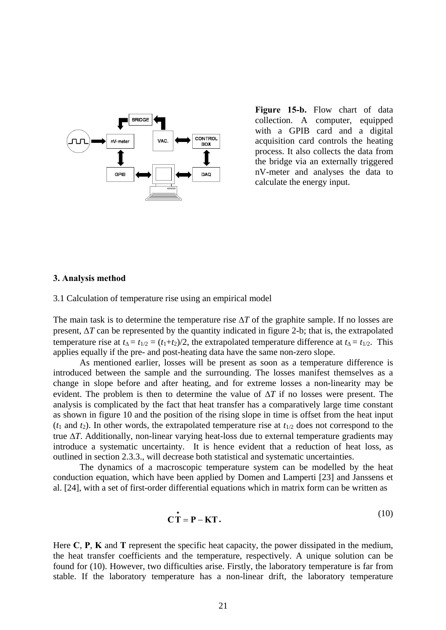

**Figure 15-b.** Flow chart of data collection. A computer, equipped with a GPIB card and a digital acquisition card controls the heating process. It also collects the data from the bridge via an externally triggered nV-meter and analyses the data to calculate the energy input.

### **3. Analysis method**

3.1 Calculation of temperature rise using an empirical model

The main task is to determine the temperature rise ∆*T* of the graphite sample. If no losses are present, ∆*T* can be represented by the quantity indicated in figure 2-b; that is, the extrapolated temperature rise at  $t_{\Delta} = t_{1/2} = (t_1 + t_2)/2$ , the extrapolated temperature difference at  $t_{\Delta} = t_{1/2}$ . This applies equally if the pre- and post-heating data have the same non-zero slope.

As mentioned earlier, losses will be present as soon as a temperature difference is introduced between the sample and the surrounding. The losses manifest themselves as a change in slope before and after heating, and for extreme losses a non-linearity may be evident. The problem is then to determine the value of ∆*T* if no losses were present. The analysis is complicated by the fact that heat transfer has a comparatively large time constant as shown in figure 10 and the position of the rising slope in time is offset from the heat input  $(t_1$  and  $t_2$ ). In other words, the extrapolated temperature rise at  $t_{1/2}$  does not correspond to the true ∆*T*. Additionally, non-linear varying heat-loss due to external temperature gradients may introduce a systematic uncertainty. It is hence evident that a reduction of heat loss, as outlined in section 2.3.3., will decrease both statistical and systematic uncertainties.

The dynamics of a macroscopic temperature system can be modelled by the heat conduction equation, which have been applied by Domen and Lamperti [23] and Janssens et al. [24], with a set of first-order differential equations which in matrix form can be written as

$$
\mathbf{C}\dot{\mathbf{T}} = \mathbf{P} - \mathbf{K}\mathbf{T}.\tag{10}
$$

Here **C**, **P**, **K** and **T** represent the specific heat capacity, the power dissipated in the medium, the heat transfer coefficients and the temperature, respectively. A unique solution can be found for (10). However, two difficulties arise. Firstly, the laboratory temperature is far from stable. If the laboratory temperature has a non-linear drift, the laboratory temperature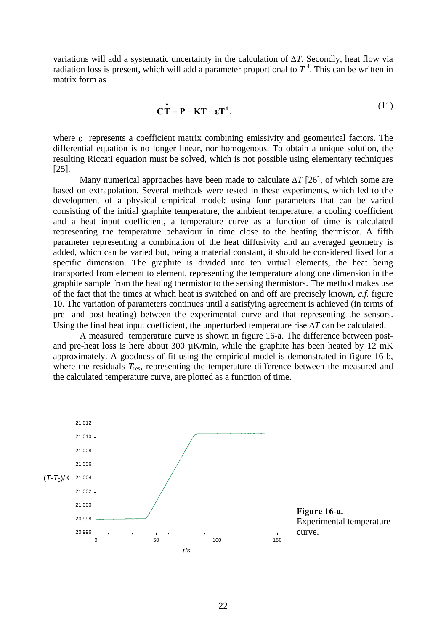variations will add a systematic uncertainty in the calculation of ∆*T*. Secondly, heat flow via radiation loss is present, which will add a parameter proportional to  $T<sup>4</sup>$ . This can be written in matrix form as

$$
\mathbf{C}\dot{\mathbf{T}} = \mathbf{P} - \mathbf{K}\mathbf{T} - \varepsilon \mathbf{T}^4,\tag{11}
$$

where  $\varepsilon$  represents a coefficient matrix combining emissivity and geometrical factors. The differential equation is no longer linear, nor homogenous. To obtain a unique solution, the resulting Riccati equation must be solved, which is not possible using elementary techniques [25].

Many numerical approaches have been made to calculate ∆*T* [26], of which some are based on extrapolation. Several methods were tested in these experiments, which led to the development of a physical empirical model: using four parameters that can be varied consisting of the initial graphite temperature, the ambient temperature, a cooling coefficient and a heat input coefficient, a temperature curve as a function of time is calculated representing the temperature behaviour in time close to the heating thermistor. A fifth parameter representing a combination of the heat diffusivity and an averaged geometry is added, which can be varied but, being a material constant, it should be considered fixed for a specific dimension. The graphite is divided into ten virtual elements, the heat being transported from element to element, representing the temperature along one dimension in the graphite sample from the heating thermistor to the sensing thermistors. The method makes use of the fact that the times at which heat is switched on and off are precisely known, *c.f.* figure 10. The variation of parameters continues until a satisfying agreement is achieved (in terms of pre- and post-heating) between the experimental curve and that representing the sensors. Using the final heat input coefficient, the unperturbed temperature rise ∆*T* can be calculated.

A measured temperature curve is shown in figure 16-a. The difference between postand pre-heat loss is here about 300  $\mu$ K/min, while the graphite has been heated by 12 mK approximately. A goodness of fit using the empirical model is demonstrated in figure 16-b, where the residuals  $T_{res}$ , representing the temperature difference between the measured and the calculated temperature curve, are plotted as a function of time.



**Figure 16-a.**  Experimental temperature curve.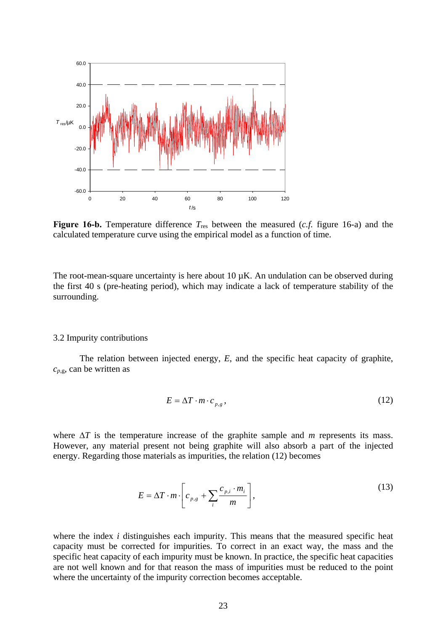

**Figure 16-b.** Temperature difference  $T_{res}$  between the measured (*c.f.* figure 16-a) and the calculated temperature curve using the empirical model as a function of time.

The root-mean-square uncertainty is here about  $10 \mu K$ . An undulation can be observed during the first 40 s (pre-heating period), which may indicate a lack of temperature stability of the surrounding.

#### 3.2 Impurity contributions

The relation between injected energy, *E*, and the specific heat capacity of graphite,  $c_{p,g}$ , can be written as

$$
E = \Delta T \cdot m \cdot c_{p,g},\tag{12}
$$

where ∆*T* is the temperature increase of the graphite sample and *m* represents its mass. However, any material present not being graphite will also absorb a part of the injected energy. Regarding those materials as impurities, the relation (12) becomes

$$
E = \Delta T \cdot m \cdot \left[ c_{p,g} + \sum_{i} \frac{c_{p,i} \cdot m_i}{m} \right],
$$
\n(13)

where the index *i* distinguishes each impurity. This means that the measured specific heat capacity must be corrected for impurities. To correct in an exact way, the mass and the specific heat capacity of each impurity must be known. In practice, the specific heat capacities are not well known and for that reason the mass of impurities must be reduced to the point where the uncertainty of the impurity correction becomes acceptable.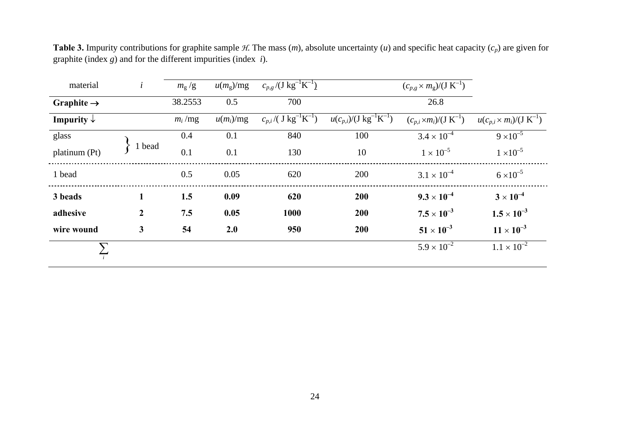| material               | $\dot{i}$      | $m_{\rm g}/g$ | $u(m_g)/mg$ | $c_{p,g}$ /(J kg <sup>-1</sup> K <sup>-1</sup> ) |                                                | $(c_{p,g} \times m_g)/(J K^{-1})$ |                                    |
|------------------------|----------------|---------------|-------------|--------------------------------------------------|------------------------------------------------|-----------------------------------|------------------------------------|
| Graphite $\rightarrow$ |                | 38.2553       | 0.5         | 700                                              |                                                | 26.8                              |                                    |
| Impurity $\downarrow$  |                | $m_i$ /mg     | $u(m_i)/mg$ | $c_{p,i}$ /( $J kg^{-1}K^{-1}$ )                 | $u(c_{p,i})/(J \text{ kg}^{-1} \text{K}^{-1})$ | $(c_{p,i} \times m_i)/(J K^{-1})$ | $u(c_{p,i} \times m_i)/(J K^{-1})$ |
| glass                  |                | 0.4           | 0.1         | 840                                              | 100                                            | $3.4 \times 10^{-4}$              | $9 \times 10^{-5}$                 |
| platinum (Pt)          | 1 bead         | 0.1           | 0.1         | 130                                              | 10                                             | $1 \times 10^{-5}$                | $1 \times 10^{-5}$                 |
| 1 bead                 |                | 0.5           | 0.05        | 620                                              | 200                                            | $3.1 \times 10^{-4}$              | $6 \times 10^{-5}$                 |
| 3 beads                | $\mathbf{1}$   | 1.5           | 0.09        | 620                                              | 200                                            | $9.3 \times 10^{-4}$              | $3 \times 10^{-4}$                 |
| adhesive               | $\overline{2}$ | 7.5           | 0.05        | 1000                                             | 200                                            | $7.5 \times 10^{-3}$              | $1.5 \times 10^{-3}$               |
| wire wound             | 3              | 54            | 2.0         | 950                                              | 200                                            | $51 \times 10^{-3}$               | $11 \times 10^{-3}$                |
|                        |                |               |             |                                                  |                                                | $5.9 \times 10^{-2}$              | $1.1 \times 10^{-2}$               |

**Table 3.** Impurity contributions for graphite sample *H*. The mass (*m*), absolute uncertainty (*u*) and specific heat capacity (*cp*) are given for graphite (index *g*) and for the different impurities (index *i*).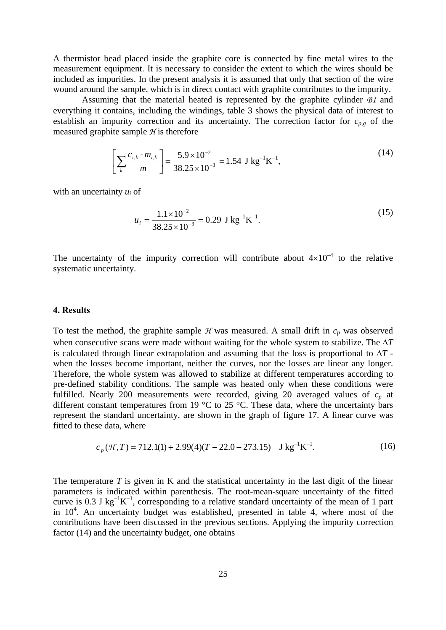A thermistor bead placed inside the graphite core is connected by fine metal wires to the measurement equipment. It is necessary to consider the extent to which the wires should be included as impurities. In the present analysis it is assumed that only that section of the wire wound around the sample, which is in direct contact with graphite contributes to the impurity.

Assuming that the material heated is represented by the graphite cylinder *B1* and everything it contains, including the windings, table 3 shows the physical data of interest to establish an impurity correction and its uncertainty. The correction factor for  $c_{p,g}$  of the measured graphite sample *H* is therefore

$$
\left[\sum_{k} \frac{c_{i,k} \cdot m_{i,k}}{m}\right] = \frac{5.9 \times 10^{-2}}{38.25 \times 10^{-3}} = 1.54 \text{ J kg}^{-1} \text{K}^{-1},\tag{14}
$$

with an uncertainty *ui* of

$$
u_i = \frac{1.1 \times 10^{-2}}{38.25 \times 10^{-3}} = 0.29 \text{ J kg}^{-1} \text{K}^{-1}.
$$
 (15)

The uncertainty of the impurity correction will contribute about  $4\times10^{-4}$  to the relative systematic uncertainty.

### **4. Results**

To test the method, the graphite sample  $H$  was measured. A small drift in  $c_p$  was observed when consecutive scans were made without waiting for the whole system to stabilize. The ∆*T* is calculated through linear extrapolation and assuming that the loss is proportional to ∆*T* when the losses become important, neither the curves, nor the losses are linear any longer. Therefore, the whole system was allowed to stabilize at different temperatures according to pre-defined stability conditions. The sample was heated only when these conditions were fulfilled. Nearly 200 measurements were recorded, giving 20 averaged values of *cp* at different constant temperatures from 19 °C to 25 °C. These data, where the uncertainty bars represent the standard uncertainty, are shown in the graph of figure 17. A linear curve was fitted to these data, where

$$
c_p(\mathcal{H}, T) = 712.1(1) + 2.99(4)(T - 22.0 - 273.15) \text{ J kg}^{-1} \text{K}^{-1}. \tag{16}
$$

The temperature  $T$  is given in  $K$  and the statistical uncertainty in the last digit of the linear parameters is indicated within parenthesis. The root-mean-square uncertainty of the fitted curve is 0.3 J kg<sup>-1</sup>K<sup>-1</sup>, corresponding to a relative standard uncertainty of the mean of 1 part in  $10<sup>4</sup>$ . An uncertainty budget was established, presented in table 4, where most of the contributions have been discussed in the previous sections. Applying the impurity correction factor (14) and the uncertainty budget, one obtains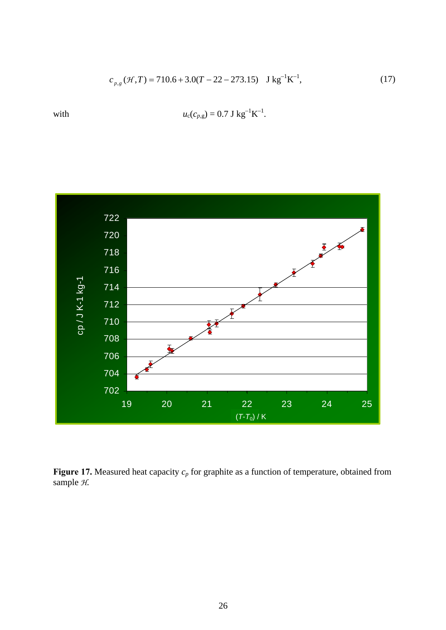$$
c_{p,g}(\mathcal{H},T) = 710.6 + 3.0(T - 22 - 273.15) \text{ J kg}^{-1} \text{K}^{-1},\tag{17}
$$



with  $u_c(c_{p,g}) = 0.7 \text{ J kg}^{-1} \text{K}^{-1}$ .

Figure 17. Measured heat capacity  $c_p$  for graphite as a function of temperature, obtained from sample *H*.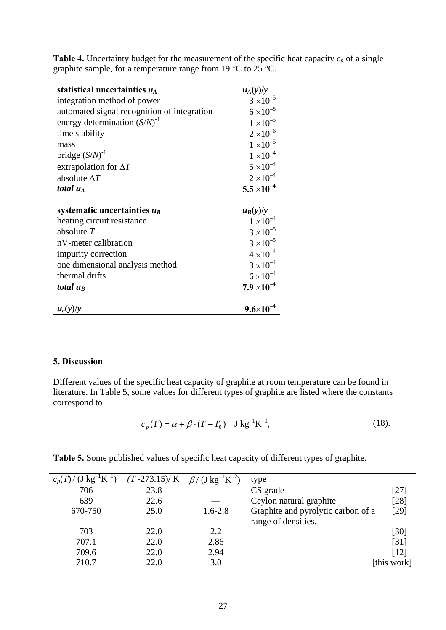| statistical uncertainties $u_A$             | $u_A(y)/y$                        |
|---------------------------------------------|-----------------------------------|
| integration method of power                 | $3 \times 10^{-5}$                |
| automated signal recognition of integration | $6 \times 10^{-8}$                |
| energy determination $(S/N)^{-1}$           | $1 \times 10^{-5}$                |
| time stability                              | $2 \times 10^{-6}$                |
| mass                                        | $1 \times 10^{-5}$                |
| bridge $(S/N)^{-1}$                         | $1 \times 10^{-4}$                |
| extrapolation for $\Delta T$                | $5 \times 10^{-4}$                |
| absolute $\Delta T$                         | $2 \times 10^{-4}$                |
| total $u_A$                                 | $5.5 \times 10^{-4}$              |
|                                             |                                   |
| systematic uncertainties $u_B$              | $\frac{u_B(y)/y}{1\times10^{-4}}$ |
| heating circuit resistance                  |                                   |
| absolute $T$                                | $3 \times 10^{-5}$                |
| nV-meter calibration                        | $3 \times 10^{-5}$                |
| impurity correction                         | $4 \times 10^{-4}$                |
| one dimensional analysis method             | $3 \times 10^{-4}$                |
| thermal drifts                              | $6 \times 10^{-4}$                |
| total $u_B$                                 | $7.9 \times 10^{-4}$              |
| $u_c(y)/y$                                  | $9.6 \times 10^{-7}$              |

**Table 4.** Uncertainty budget for the measurement of the specific heat capacity  $c_p$  of a single graphite sample, for a temperature range from 19 °C to 25 °C.

# **5. Discussion**

Different values of the specific heat capacity of graphite at room temperature can be found in literature. In Table 5, some values for different types of graphite are listed where the constants correspond to

$$
c_p(T) = \alpha + \beta \cdot (T - T_0) \quad J \, \text{kg}^{-1} \text{K}^{-1}, \tag{18}
$$

**Table 5.** Some published values of specific heat capacity of different types of graphite.

| $kg^{-1}K^{-1}$<br>$c_p(I)$ / | $(T - 273.15) / K$ | $(J \text{ kg}^{-1} \text{K}^{-2})$ | type                                                      |             |
|-------------------------------|--------------------|-------------------------------------|-----------------------------------------------------------|-------------|
| 706                           | 23.8               |                                     | CS grade                                                  | [27]        |
| 639                           | 22.6               |                                     | Ceylon natural graphite                                   | $[28]$      |
| 670-750                       | 25.0               | $1.6 - 2.8$                         | Graphite and pyrolytic carbon of a<br>range of densities. | $[29]$      |
| 703                           | 22.0               | 2.2                                 |                                                           | [30]        |
| 707.1                         | 22.0               | 2.86                                |                                                           | $[31]$      |
| 709.6                         | 22.0               | 2.94                                |                                                           | [12]        |
| 710.7                         | 22.0               | 3.0                                 |                                                           | [this work] |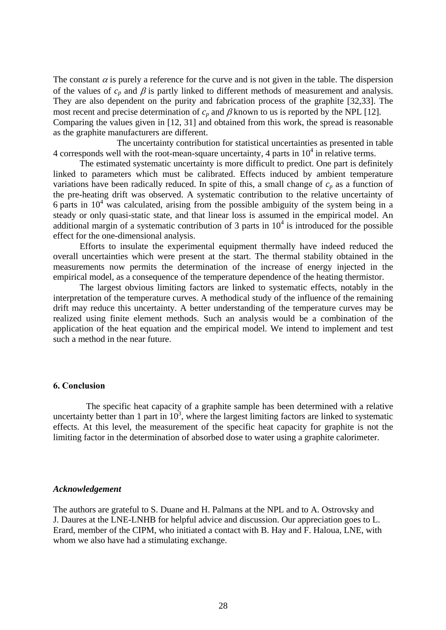The constant  $\alpha$  is purely a reference for the curve and is not given in the table. The dispersion of the values of  $c_p$  and  $\beta$  is partly linked to different methods of measurement and analysis. They are also dependent on the purity and fabrication process of the graphite [32,33]. The most recent and precise determination of  $c_p$  and  $\beta$  known to us is reported by the NPL [12]. Comparing the values given in [12, 31] and obtained from this work, the spread is reasonable as the graphite manufacturers are different.

 The uncertainty contribution for statistical uncertainties as presented in table 4 corresponds well with the root-mean-square uncertainty, 4 parts in  $10<sup>4</sup>$  in relative terms.

The estimated systematic uncertainty is more difficult to predict. One part is definitely linked to parameters which must be calibrated. Effects induced by ambient temperature variations have been radically reduced. In spite of this, a small change of  $c_p$  as a function of the pre-heating drift was observed. A systematic contribution to the relative uncertainty of 6 parts in  $10^4$  was calculated, arising from the possible ambiguity of the system being in a steady or only quasi-static state, and that linear loss is assumed in the empirical model. An additional margin of a systematic contribution of 3 parts in  $10<sup>4</sup>$  is introduced for the possible effect for the one-dimensional analysis.

Efforts to insulate the experimental equipment thermally have indeed reduced the overall uncertainties which were present at the start. The thermal stability obtained in the measurements now permits the determination of the increase of energy injected in the empirical model, as a consequence of the temperature dependence of the heating thermistor.

The largest obvious limiting factors are linked to systematic effects, notably in the interpretation of the temperature curves. A methodical study of the influence of the remaining drift may reduce this uncertainty. A better understanding of the temperature curves may be realized using finite element methods. Such an analysis would be a combination of the application of the heat equation and the empirical model. We intend to implement and test such a method in the near future.

## **6. Conclusion**

The specific heat capacity of a graphite sample has been determined with a relative uncertainty better than 1 part in  $10^3$ , where the largest limiting factors are linked to systematic effects. At this level, the measurement of the specific heat capacity for graphite is not the limiting factor in the determination of absorbed dose to water using a graphite calorimeter.

### *Acknowledgement*

The authors are grateful to S. Duane and H. Palmans at the NPL and to A. Ostrovsky and J. Daures at the LNE-LNHB for helpful advice and discussion. Our appreciation goes to L. Erard, member of the CIPM, who initiated a contact with B. Hay and F. Haloua, LNE, with whom we also have had a stimulating exchange.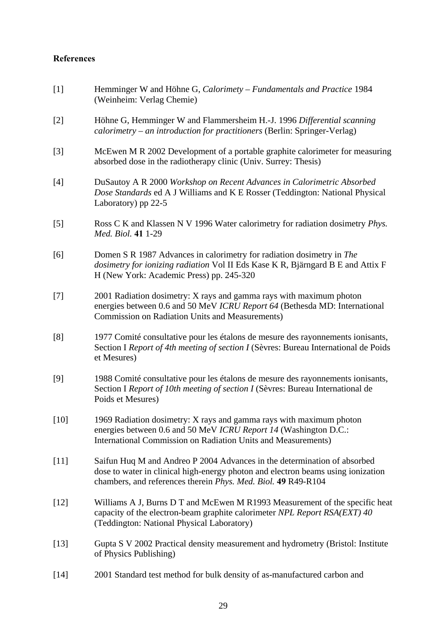# **References**

| $[1]$  | Hemminger W and Höhne G, Calorimety - Fundamentals and Practice 1984<br>(Weinheim: Verlag Chemie)                                                                                                                             |
|--------|-------------------------------------------------------------------------------------------------------------------------------------------------------------------------------------------------------------------------------|
| $[2]$  | Höhne G, Hemminger W and Flammersheim H.-J. 1996 Differential scanning<br>calorimetry – an introduction for practitioners (Berlin: Springer-Verlag)                                                                           |
| $[3]$  | McEwen M R 2002 Development of a portable graphite calorimeter for measuring<br>absorbed dose in the radiotherapy clinic (Univ. Surrey: Thesis)                                                                               |
| $[4]$  | DuSautoy A R 2000 Workshop on Recent Advances in Calorimetric Absorbed<br>Dose Standards ed A J Williams and K E Rosser (Teddington: National Physical<br>Laboratory) pp 22-5                                                 |
| [5]    | Ross C K and Klassen N V 1996 Water calorimetry for radiation dosimetry <i>Phys.</i><br>Med. Biol. 41 1-29                                                                                                                    |
| [6]    | Domen S R 1987 Advances in calorimetry for radiation dosimetry in The<br>dosimetry for ionizing radiation Vol II Eds Kase K R, Bjärngard B E and Attix F<br>H (New York: Academic Press) pp. 245-320                          |
| $[7]$  | 2001 Radiation dosimetry: X rays and gamma rays with maximum photon<br>energies between 0.6 and 50 MeV ICRU Report 64 (Bethesda MD: International<br>Commission on Radiation Units and Measurements)                          |
| [8]    | 1977 Comité consultative pour les étalons de mesure des rayonnements ionisants,<br>Section I Report of 4th meeting of section I (Sèvres: Bureau International de Poids<br>et Mesures)                                         |
| [9]    | 1988 Comité consultative pour les étalons de mesure des rayonnements ionisants,<br>Section I Report of 10th meeting of section I (Sèvres: Bureau International de<br>Poids et Mesures)                                        |
| $[10]$ | 1969 Radiation dosimetry: X rays and gamma rays with maximum photon<br>energies between 0.6 and 50 MeV ICRU Report 14 (Washington D.C.:<br>International Commission on Radiation Units and Measurements)                      |
| $[11]$ | Saifun Huq M and Andreo P 2004 Advances in the determination of absorbed<br>dose to water in clinical high-energy photon and electron beams using ionization<br>chambers, and references therein Phys. Med. Biol. 49 R49-R104 |
| $[12]$ | Williams A J, Burns D T and McEwen M R1993 Measurement of the specific heat<br>capacity of the electron-beam graphite calorimeter NPL Report RSA(EXT) 40<br>(Teddington: National Physical Laboratory)                        |
| $[13]$ | Gupta S V 2002 Practical density measurement and hydrometry (Bristol: Institute<br>of Physics Publishing)                                                                                                                     |
| $[14]$ | 2001 Standard test method for bulk density of as-manufactured carbon and                                                                                                                                                      |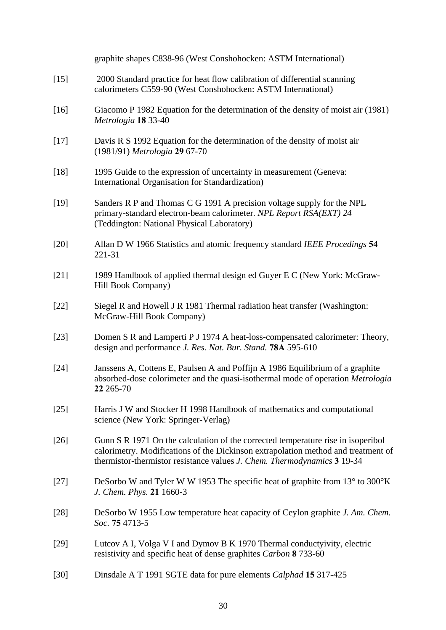|        | graphite shapes C838-96 (West Conshohocken: ASTM International)                                                                                                                                                                                  |
|--------|--------------------------------------------------------------------------------------------------------------------------------------------------------------------------------------------------------------------------------------------------|
| $[15]$ | 2000 Standard practice for heat flow calibration of differential scanning<br>calorimeters C559-90 (West Conshohocken: ASTM International)                                                                                                        |
| $[16]$ | Giacomo P 1982 Equation for the determination of the density of moist air (1981)<br>Metrologia 18 33-40                                                                                                                                          |
| $[17]$ | Davis R S 1992 Equation for the determination of the density of moist air<br>(1981/91) Metrologia 29 67-70                                                                                                                                       |
| $[18]$ | 1995 Guide to the expression of uncertainty in measurement (Geneva:<br>International Organisation for Standardization)                                                                                                                           |
| $[19]$ | Sanders R P and Thomas C G 1991 A precision voltage supply for the NPL<br>primary-standard electron-beam calorimeter. NPL Report RSA(EXT) 24<br>(Teddington: National Physical Laboratory)                                                       |
| $[20]$ | Allan D W 1966 Statistics and atomic frequency standard IEEE Procedings 54<br>221-31                                                                                                                                                             |
| $[21]$ | 1989 Handbook of applied thermal design ed Guyer E C (New York: McGraw-<br>Hill Book Company)                                                                                                                                                    |
| $[22]$ | Siegel R and Howell J R 1981 Thermal radiation heat transfer (Washington:<br>McGraw-Hill Book Company)                                                                                                                                           |
| $[23]$ | Domen S R and Lamperti P J 1974 A heat-loss-compensated calorimeter: Theory,<br>design and performance J. Res. Nat. Bur. Stand. 78A 595-610                                                                                                      |
| $[24]$ | Janssens A, Cottens E, Paulsen A and Poffijn A 1986 Equilibrium of a graphite<br>absorbed-dose colorimeter and the quasi-isothermal mode of operation Metrologia<br>22 265-70                                                                    |
| $[25]$ | Harris J W and Stocker H 1998 Handbook of mathematics and computational<br>science (New York: Springer-Verlag)                                                                                                                                   |
| $[26]$ | Gunn S R 1971 On the calculation of the corrected temperature rise in isoperibol<br>calorimetry. Modifications of the Dickinson extrapolation method and treatment of<br>thermistor-thermistor resistance values J. Chem. Thermodynamics 3 19-34 |
| $[27]$ | DeSorbo W and Tyler W W 1953 The specific heat of graphite from 13° to 300°K<br>J. Chem. Phys. 21 1660-3                                                                                                                                         |
| $[28]$ | DeSorbo W 1955 Low temperature heat capacity of Ceylon graphite J. Am. Chem.<br>Soc. 75 4713-5                                                                                                                                                   |
| $[29]$ | Lutcov A I, Volga V I and Dymov B K 1970 Thermal conductyivity, electric<br>resistivity and specific heat of dense graphites Carbon 8 733-60                                                                                                     |
| $[30]$ | Dinsdale A T 1991 SGTE data for pure elements Calphad 15 317-425                                                                                                                                                                                 |
|        |                                                                                                                                                                                                                                                  |